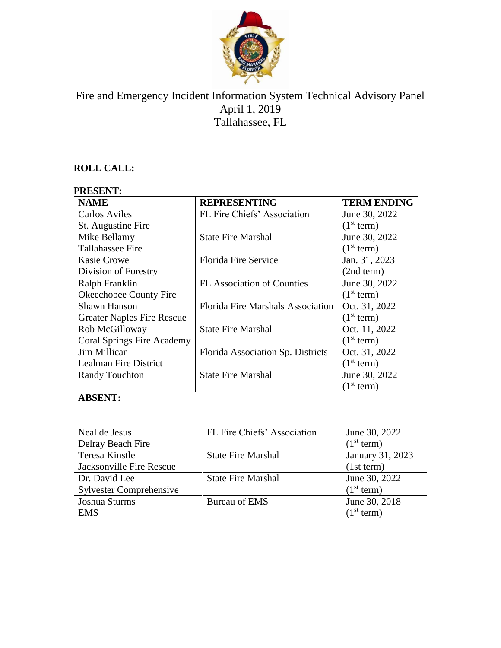

# Fire and Emergency Incident Information System Technical Advisory Panel April 1, 2019 Tallahassee, FL

## **ROLL CALL:**

### **PRESENT:**

| <b>NAME</b>                       | <b>REPRESENTING</b>               | <b>TERM ENDING</b>     |
|-----------------------------------|-----------------------------------|------------------------|
| <b>Carlos Aviles</b>              | FL Fire Chiefs' Association       | June 30, 2022          |
| St. Augustine Fire                |                                   | (1 <sup>st</sup> term) |
| Mike Bellamy                      | <b>State Fire Marshal</b>         | June 30, 2022          |
| <b>Tallahassee Fire</b>           |                                   | (1 <sup>st</sup> term) |
| <b>Kasie Crowe</b>                | <b>Florida Fire Service</b>       | Jan. 31, 2023          |
| Division of Forestry              |                                   | (2nd term)             |
| Ralph Franklin                    | <b>FL Association of Counties</b> | June 30, 2022          |
| Okeechobee County Fire            |                                   | (1 <sup>st</sup> term) |
| Shawn Hanson                      | Florida Fire Marshals Association | Oct. 31, 2022          |
| <b>Greater Naples Fire Rescue</b> |                                   | (1 <sup>st</sup> term) |
| Rob McGilloway                    | <b>State Fire Marshal</b>         | Oct. 11, 2022          |
| <b>Coral Springs Fire Academy</b> |                                   | (1 <sup>st</sup> term) |
| Jim Millican                      | Florida Association Sp. Districts | Oct. 31, 2022          |
| Lealman Fire District             |                                   | (1 <sup>st</sup> term) |
| <b>Randy Touchton</b>             | <b>State Fire Marshal</b>         | June 30, 2022          |
|                                   |                                   | (1 <sup>st</sup> term) |

## **ABSENT:**

| Neal de Jesus                  | FL Fire Chiefs' Association | June 30, 2022          |
|--------------------------------|-----------------------------|------------------------|
| Delray Beach Fire              |                             | (1 <sup>st</sup> term) |
| Teresa Kinstle                 | <b>State Fire Marshal</b>   | January 31, 2023       |
| Jacksonville Fire Rescue       |                             | (1st term)             |
| Dr. David Lee                  | <b>State Fire Marshal</b>   | June 30, 2022          |
| <b>Sylvester Comprehensive</b> |                             | (1 <sup>st</sup> term) |
| Joshua Sturms                  | <b>Bureau of EMS</b>        | June 30, 2018          |
| <b>EMS</b>                     |                             | (1 <sup>st</sup> term) |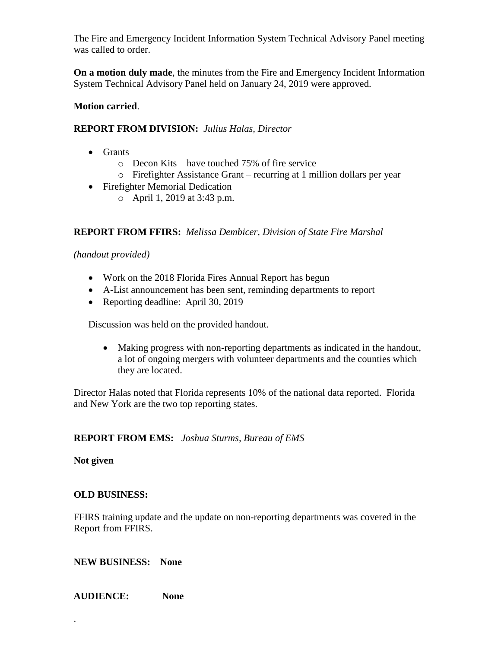The Fire and Emergency Incident Information System Technical Advisory Panel meeting was called to order.

**On a motion duly made**, the minutes from the Fire and Emergency Incident Information System Technical Advisory Panel held on January 24, 2019 were approved.

#### **Motion carried**.

#### **REPORT FROM DIVISION:** *Julius Halas, Director*

- Grants
	- o Decon Kits have touched 75% of fire service
	- o Firefighter Assistance Grant recurring at 1 million dollars per year
- Firefighter Memorial Dedication
	- o April 1, 2019 at 3:43 p.m.

#### **REPORT FROM FFIRS:** *Melissa Dembicer, Division of State Fire Marshal*

*(handout provided)*

- Work on the 2018 Florida Fires Annual Report has begun
- A-List announcement has been sent, reminding departments to report
- Reporting deadline: April 30, 2019

Discussion was held on the provided handout.

• Making progress with non-reporting departments as indicated in the handout, a lot of ongoing mergers with volunteer departments and the counties which they are located.

Director Halas noted that Florida represents 10% of the national data reported. Florida and New York are the two top reporting states.

#### **REPORT FROM EMS:** *Joshua Sturms, Bureau of EMS*

**Not given**

.

#### **OLD BUSINESS:**

FFIRS training update and the update on non-reporting departments was covered in the Report from FFIRS.

**NEW BUSINESS: None**

**AUDIENCE: None**